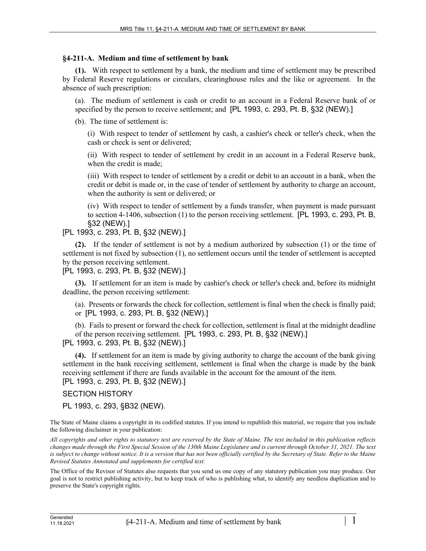## **§4-211-A. Medium and time of settlement by bank**

**(1).** With respect to settlement by a bank, the medium and time of settlement may be prescribed by Federal Reserve regulations or circulars, clearinghouse rules and the like or agreement. In the absence of such prescription:

(a). The medium of settlement is cash or credit to an account in a Federal Reserve bank of or specified by the person to receive settlement; and [PL 1993, c. 293, Pt. B, §32 (NEW).]

(b). The time of settlement is:

(i) With respect to tender of settlement by cash, a cashier's check or teller's check, when the cash or check is sent or delivered;

(ii) With respect to tender of settlement by credit in an account in a Federal Reserve bank, when the credit is made;

(iii) With respect to tender of settlement by a credit or debit to an account in a bank, when the credit or debit is made or, in the case of tender of settlement by authority to charge an account, when the authority is sent or delivered; or

(iv) With respect to tender of settlement by a funds transfer, when payment is made pursuant to section 4-1406, subsection (1) to the person receiving settlement. [PL 1993, c. 293, Pt. B, §32 (NEW).]

# [PL 1993, c. 293, Pt. B, §32 (NEW).]

**(2).** If the tender of settlement is not by a medium authorized by subsection (1) or the time of settlement is not fixed by subsection (1), no settlement occurs until the tender of settlement is accepted by the person receiving settlement.

## [PL 1993, c. 293, Pt. B, §32 (NEW).]

**(3).** If settlement for an item is made by cashier's check or teller's check and, before its midnight deadline, the person receiving settlement:

(a). Presents or forwards the check for collection, settlement is final when the check is finally paid; or [PL 1993, c. 293, Pt. B, §32 (NEW).]

(b). Fails to present or forward the check for collection, settlement is final at the midnight deadline of the person receiving settlement. [PL 1993, c. 293, Pt. B, §32 (NEW).]

## [PL 1993, c. 293, Pt. B, §32 (NEW).]

**(4).** If settlement for an item is made by giving authority to charge the account of the bank giving settlement in the bank receiving settlement, settlement is final when the charge is made by the bank receiving settlement if there are funds available in the account for the amount of the item. [PL 1993, c. 293, Pt. B, §32 (NEW).]

# SECTION HISTORY

PL 1993, c. 293, §B32 (NEW).

The State of Maine claims a copyright in its codified statutes. If you intend to republish this material, we require that you include the following disclaimer in your publication:

*All copyrights and other rights to statutory text are reserved by the State of Maine. The text included in this publication reflects changes made through the First Special Session of the 130th Maine Legislature and is current through October 31, 2021. The text*  is subject to change without notice. It is a version that has not been officially certified by the Secretary of State. Refer to the Maine *Revised Statutes Annotated and supplements for certified text.*

The Office of the Revisor of Statutes also requests that you send us one copy of any statutory publication you may produce. Our goal is not to restrict publishing activity, but to keep track of who is publishing what, to identify any needless duplication and to preserve the State's copyright rights.